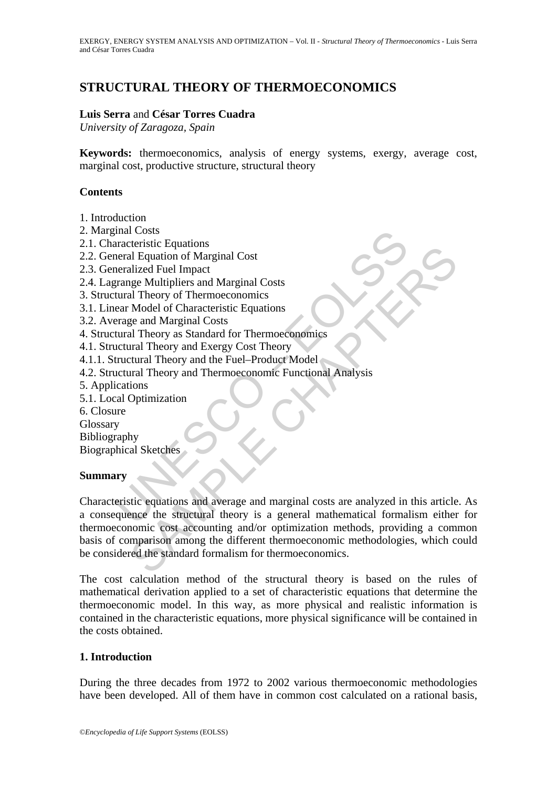# **STRUCTURAL THEORY OF THERMOECONOMICS**

## **Luis Serra** and **César Torres Cuadra**

*University of Zaragoza, Spain* 

**Keywords:** thermoeconomics, analysis of energy systems, exergy, average cost, marginal cost, productive structure, structural theory

## **Contents**

- 1. Introduction
- 2. Marginal Costs
- 2.1. Characteristic Equations
- 2.2. General Equation of Marginal Cost
- 2.3. Generalized Fuel Impact
- 2.4. Lagrange Multipliers and Marginal Costs
- 3. Structural Theory of Thermoeconomics
- 3.1. Linear Model of Characteristic Equations
- 3.2. Average and Marginal Costs
- 4. Structural Theory as Standard for Thermoeconomics
- 4.1. Structural Theory and Exergy Cost Theory
- 4.1.1. Structural Theory and the Fuel–Product Model
- 4.2. Structural Theory and Thermoeconomic Functional Analysis
- 5. Applications
- 5.1. Local Optimization
- 6. Closure

**Glossary** 

Bibliography

Biographical Sketches

## **Summary**

matchetistic Equations<br>
areal Equation of Marginal Cost<br>
neral Equation of Marginal Cost<br>
neralized Fuel Impact<br>
trange Multipliers and Marginal Costs<br>
tural Theory of Thermoeconomics<br>
tural Theory as Standard for Thermoec CRIMITED IN THE SURFAINT CONTROLLER CHAPTER CHAPTER CHAPTER CHAPTER (INCREDIBLED THE PROTOCONDUCT IN MARGINED IN MODEL of Characteristic Equations<br>
SAMPLED IN MORE OF THE CHAPTER CHAPTER MANUSIUM CONTROLLER IN THE CHAPTER Characteristic equations and average and marginal costs are analyzed in this article. As a consequence the structural theory is a general mathematical formalism either for thermoeconomic cost accounting and/or optimization methods, providing a common basis of comparison among the different thermoeconomic methodologies, which could be considered the standard formalism for thermoeconomics.

The cost calculation method of the structural theory is based on the rules of mathematical derivation applied to a set of characteristic equations that determine the thermoeconomic model. In this way, as more physical and realistic information is contained in the characteristic equations, more physical significance will be contained in the costs obtained.

## **1. Introduction**

During the three decades from 1972 to 2002 various thermoeconomic methodologies have been developed. All of them have in common cost calculated on a rational basis,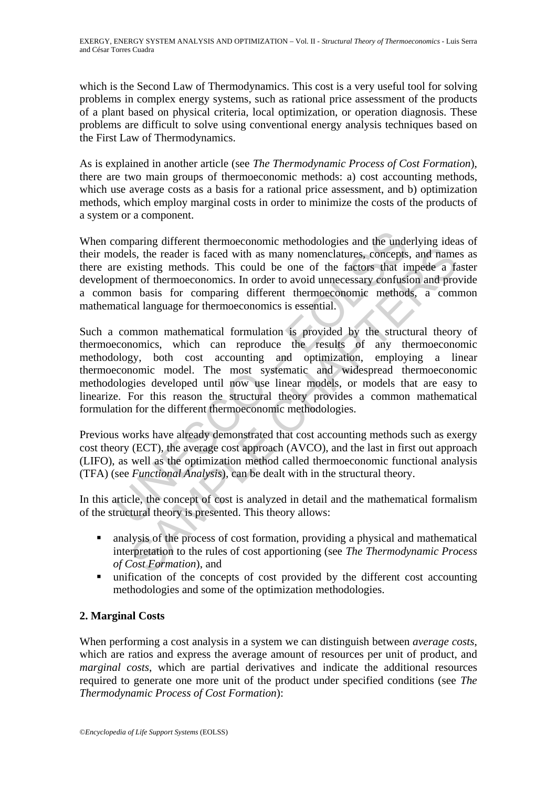which is the Second Law of Thermodynamics. This cost is a very useful tool for solving problems in complex energy systems, such as rational price assessment of the products of a plant based on physical criteria, local optimization, or operation diagnosis. These problems are difficult to solve using conventional energy analysis techniques based on the First Law of Thermodynamics.

As is explained in another article (see *The Thermodynamic Process of Cost Formation*), there are two main groups of thermoeconomic methods: a) cost accounting methods, which use average costs as a basis for a rational price assessment, and b) optimization methods, which employ marginal costs in order to minimize the costs of the products of a system or a component.

When comparing different thermoeconomic methodologies and the underlying ideas of their models, the reader is faced with as many nomenclatures, concepts, and names as there are existing methods. This could be one of the factors that impede a faster development of thermoeconomics. In order to avoid unnecessary confusion and provide a common basis for comparing different thermoeconomic methods, a common mathematical language for thermoeconomics is essential.

omparing different thermoeconomic methodologies and the underdeeds, the reader is faced with as many nomenclatures, concepts ee existing methods. This could be one of the factors that it mement of thermoeconomics. In order is, the reader is faced with as many nomenclatures, concepts, and name<br>is it, the reader is faced with as many nomenclatures, concepts, and name<br>existing methods. This could be one of the factors that impede a factor<br>is a Such a common mathematical formulation is provided by the structural theory of thermoeconomics, which can reproduce the results of any thermoeconomic methodology, both cost accounting and optimization, employing a linear thermoeconomic model. The most systematic and widespread thermoeconomic methodologies developed until now use linear models, or models that are easy to linearize. For this reason the structural theory provides a common mathematical formulation for the different thermoeconomic methodologies.

Previous works have already demonstrated that cost accounting methods such as exergy cost theory (ECT), the average cost approach (AVCO), and the last in first out approach (LIFO), as well as the optimization method called thermoeconomic functional analysis (TFA) (see *Functional Analysis*), can be dealt with in the structural theory.

In this article, the concept of cost is analyzed in detail and the mathematical formalism of the structural theory is presented. This theory allows:

- analysis of the process of cost formation, providing a physical and mathematical interpretation to the rules of cost apportioning (see *The Thermodynamic Process of Cost Formation*), and
- unification of the concepts of cost provided by the different cost accounting methodologies and some of the optimization methodologies.

## **2. Marginal Costs**

When performing a cost analysis in a system we can distinguish between *average costs*, which are ratios and express the average amount of resources per unit of product, and *marginal costs*, which are partial derivatives and indicate the additional resources required to generate one more unit of the product under specified conditions (see *The Thermodynamic Process of Cost Formation*):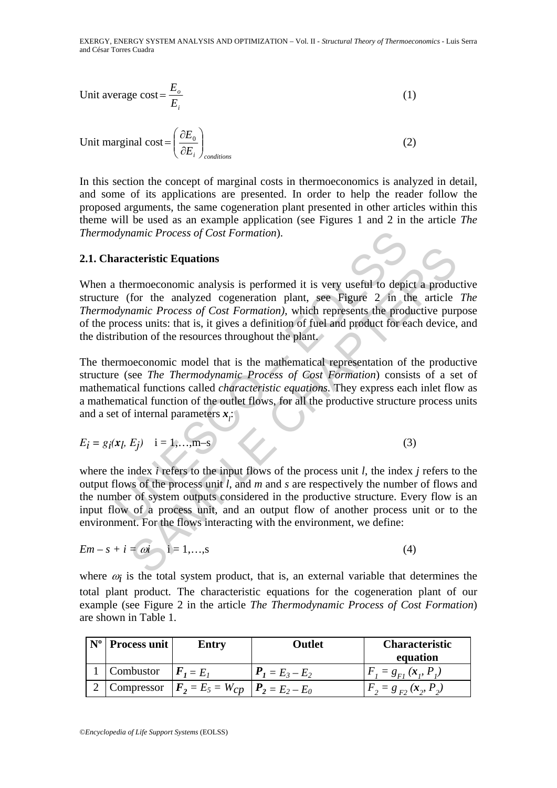Unit average cost = 
$$
\frac{E_o}{E_i}
$$
 (1)

Unit marginal cost = 
$$
\left(\frac{\partial E_0}{\partial E_i}\right)_{conditions}
$$
 (2)

In this section the concept of marginal costs in thermoeconomics is analyzed in detail, and some of its applications are presented. In order to help the reader follow the proposed arguments, the same cogeneration plant presented in other articles within this theme will be used as an example application (see Figures 1 and 2 in the article *The Thermodynamic Process of Cost Formation*).

### **2.1. Characteristic Equations**

When a thermoeconomic analysis is performed it is very useful to depict a productive structure (for the analyzed cogeneration plant, see Figure 2 in the article *The Thermodynamic Process of Cost Formation)*, which represents the productive purpose of the process units: that is, it gives a definition of fuel and product for each device, and the distribution of the resources throughout the plant.

dynamic Process of Cost Formation).<br>
aracteristic Equations<br>
aracteristic Equations<br>
e (for the analyzed cogeneration plant, see Figure 2 in the<br>
dynamic Process of Cost Formation), which represents the prod<br>
rocess units **Example 12**<br> **Example 2 Example 12**<br> **Example 2 Example 2 Example 12**<br> **Example 2 Example 2 Example 2 Example 16**<br> **Example 2 Example 2 Example 16**<br> **Example 2 Example 16**<br> **Example 16**<br> **Example 16**<br> The thermoeconomic model that is the mathematical representation of the productive structure (see *The Thermodynamic Process of Cost Formation*) consists of a set of mathematical functions called *characteristic equations.* They express each inlet flow as a mathematical function of the outlet flows, for all the productive structure process units and a set of internal parameters  $x_i$ :

$$
E_i = g_i(x_l, E_j) \quad i = 1,...,m-s
$$
 (3)

where the index *i* refers to the input flows of the process unit *l*, the index *j* refers to the output flows of the process unit *l*, and *m* and *s* are respectively the number of flows and the number of system outputs considered in the productive structure. Every flow is an input flow of a process unit, and an output flow of another process unit or to the environment. For the flows interacting with the environment, we define:

$$
Em - s + i = \omega i \qquad i = 1, \dots, s \tag{4}
$$

where  $\omega_i$  is the total system product, that is, an external variable that determines the total plant product. The characteristic equations for the cogeneration plant of our example (see Figure 2 in the article *The Thermodynamic Process of Cost Formation*) are shown in Table 1.

| $N^{\rm o}$ | <b>Process unit</b>                | <b>Entry</b>                                                          | Outlet            | <b>Characteristic</b><br>equation |
|-------------|------------------------------------|-----------------------------------------------------------------------|-------------------|-----------------------------------|
|             | 1   Combustor $\mathbf{F}_1 = E_1$ |                                                                       | $P_1 = E_3 - E_2$ | $F_i = g_{F_i}(x_i, P_i)$         |
|             |                                    | . Compressor $\mathbf{F}_2 = E_5 = W_{CD}$ $\mathbf{P}_2 = E_2 - E_0$ |                   | $F_2 = g_{F2} (x_2, P_2)$         |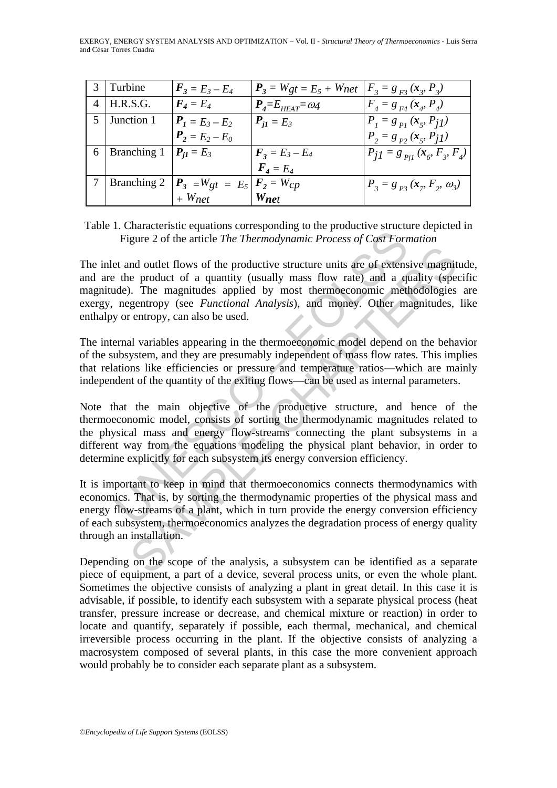|                | l Turbine                        | $F_3 = E_3 - E_4$                                                | $P_3 = W_{gt} = E_5 + W_{net}$   $F_3 = g_{F3}(x_g, P_3)$ |                                                       |
|----------------|----------------------------------|------------------------------------------------------------------|-----------------------------------------------------------|-------------------------------------------------------|
| $\overline{4}$ | H.R.S.G.                         | $\boldsymbol{F_4} = \boldsymbol{E_4}$                            | $P_{\textit{A}} = E_{\textit{HEAT}} = \omega_4$           | $F_{A} = g_{F4} (x_{A} P_{A})$                        |
| 5              | Junction 1                       | $P_1 = E_3 - E_2$                                                | $P_{i1} = E_3$                                            | $P_i = g_{p_i}(x_s, P_{iI})$                          |
|                |                                  | $P_2 = E_2 - E_0$                                                |                                                           | $P_2 = g_{p_2}(x_{5}, P_{11})$                        |
|                | 6   Branching 1   $P_{j1} = E_3$ |                                                                  | $F_3 = E_3 - E_4$                                         | $P_{j1} = g_{p_{j1}}(x_{\sigma} F_{\sigma} F_{\phi})$ |
|                |                                  |                                                                  | $\bm{F}_4 = \bm{E}_4$                                     |                                                       |
|                |                                  | Branching 2 $ \mathbf{P}_3  = Wgt = E_5   \mathbf{F}_2 = W_{CP}$ |                                                           | $P_3 = g_{pq}(x_p F_2, \omega_3)$                     |
|                |                                  | $+$ Wnet                                                         | Wnet                                                      |                                                       |

Table 1. Characteristic equations corresponding to the productive structure depicted in Figure 2 of the article *The Thermodynamic Process of Cost Formation*

The inlet and outlet flows of the productive structure units are of extensive magnitude, and are the product of a quantity (usually mass flow rate) and a quality (specific magnitude). The magnitudes applied by most thermoeconomic methodologies are exergy, negentropy (see *Functional Analysis*), and money. Other magnitudes, like enthalpy or entropy, can also be used.

The internal variables appearing in the thermoeconomic model depend on the behavior of the subsystem, and they are presumably independent of mass flow rates. This implies that relations like efficiencies or pressure and temperature ratios—which are mainly independent of the quantity of the exiting flows—can be used as internal parameters.

Figure 2 of the article *The Thermodynamic Process of Cost Forn*<br>Figure 2 of the article *The Thermodynamic Process of Cost Forn*<br>et and outlet flows of the productive structure units are of extens<br>the product of a quanti nd outlet flows of the productive structure units are of extensive magnities<br>e product of a quantity (usually mass flow rate) and a quality (spe.<br>D. The magnitudes applied by most thermoeconomic methodologies<br>gentropy (see Note that the main objective of the productive structure, and hence of the thermoeconomic model, consists of sorting the thermodynamic magnitudes related to the physical mass and energy flow-streams connecting the plant subsystems in a different way from the equations modeling the physical plant behavior, in order to determine explicitly for each subsystem its energy conversion efficiency.

It is important to keep in mind that thermoeconomics connects thermodynamics with economics. That is, by sorting the thermodynamic properties of the physical mass and energy flow-streams of a plant, which in turn provide the energy conversion efficiency of each subsystem, thermoeconomics analyzes the degradation process of energy quality through an installation.

Depending on the scope of the analysis, a subsystem can be identified as a separate piece of equipment, a part of a device, several process units, or even the whole plant. Sometimes the objective consists of analyzing a plant in great detail. In this case it is advisable, if possible, to identify each subsystem with a separate physical process (heat transfer, pressure increase or decrease, and chemical mixture or reaction) in order to locate and quantify, separately if possible, each thermal, mechanical, and chemical irreversible process occurring in the plant. If the objective consists of analyzing a macrosystem composed of several plants, in this case the more convenient approach would probably be to consider each separate plant as a subsystem.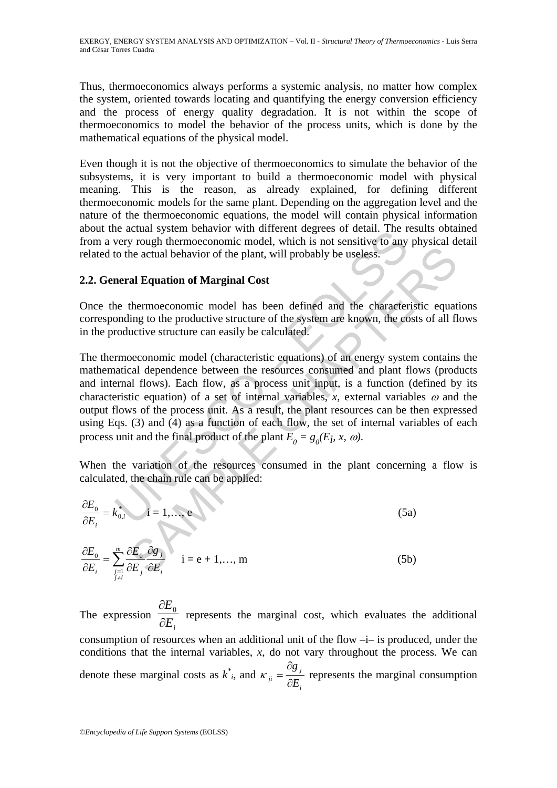Thus, thermoeconomics always performs a systemic analysis, no matter how complex the system, oriented towards locating and quantifying the energy conversion efficiency and the process of energy quality degradation. It is not within the scope of thermoeconomics to model the behavior of the process units, which is done by the mathematical equations of the physical model.

Even though it is not the objective of thermoeconomics to simulate the behavior of the subsystems, it is very important to build a thermoeconomic model with physical meaning. This is the reason, as already explained, for defining different thermoeconomic models for the same plant. Depending on the aggregation level and the nature of the thermoeconomic equations, the model will contain physical information about the actual system behavior with different degrees of detail. The results obtained from a very rough thermoeconomic model, which is not sensitive to any physical detail related to the actual behavior of the plant, will probably be useless.

## **2.2. General Equation of Marginal Cost**

Once the thermoeconomic model has been defined and the characteristic equations corresponding to the productive structure of the system are known, the costs of all flows in the productive structure can easily be calculated.

be actual system behavior with uniferent degrees of detail. The F<br>levery rough thermoeconomic model, which is not sensitive to any<br>of the actual behavior of the plant, will probably be useless.<br>**neral Equation of Marginal** be actual behavior of the plant, will probably be useless.<br>
al Equation of Marginal Cost<br>
thermoeconomic model has been defined and the characteristic equation<br>
thermoeconomic model has been defined and the characteristic The thermoeconomic model (characteristic equations) of an energy system contains the mathematical dependence between the resources consumed and plant flows (products and internal flows). Each flow, as a process unit input, is a function (defined by its characteristic equation) of a set of internal variables, *x*, external variables  $\omega$  and the output flows of the process unit. As a result, the plant resources can be then expressed using Eqs. (3) and (4) as a function of each flow, the set of internal variables of each process unit and the final product of the plant  $E_0 = g_0(E_i, x, \omega)$ .

When the variation of the resources consumed in the plant concerning a flow is calculated, the chain rule can be applied:

$$
\frac{\partial E_0}{\partial E_i} = k_{0,i}^* \qquad i = 1,...,e
$$
 (5a)

$$
\frac{\partial E_0}{\partial E_i} = \sum_{\substack{j=1 \ j \neq i}}^m \frac{\partial E_0}{\partial E_j} \frac{\partial g_j}{\partial E_i} \qquad i = e + 1, ..., m
$$
\n(5b)

The expression  $\overline{\partial E_i}$ *E* ∂  $\frac{\partial E_0}{\partial \Sigma}$  represents the marginal cost, which evaluates the additional consumption of resources when an additional unit of the flow –i– is produced, under the conditions that the internal variables, *x*, do not vary throughout the process. We can denote these marginal costs as *k \* <sup>i</sup>*, and *j*  $e^{ji}$   $\bar{\partial}E$ *g* ∂ ∂  $K_{ii} = \frac{88 \text{ J}}{25}$  represents the marginal consumption

*i*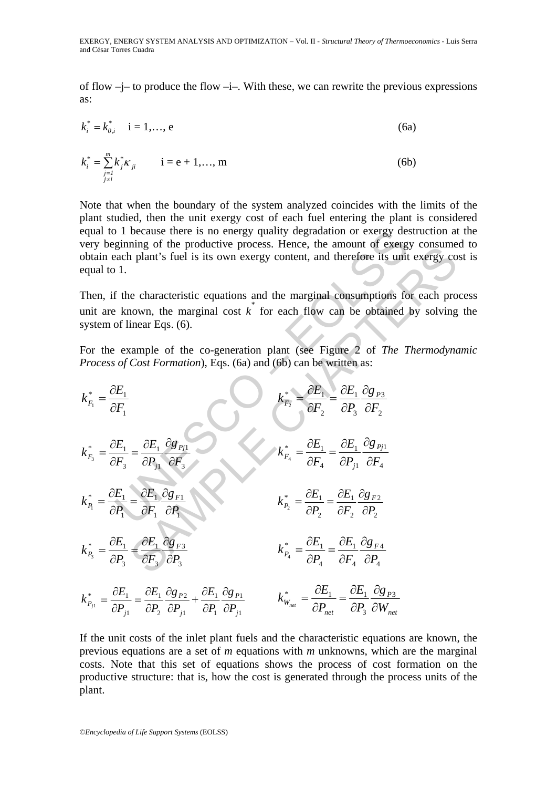of flow –j– to produce the flow –i–. With these, we can rewrite the previous expressions as:

$$
k_i^* = k_{0,i}^* \quad i = 1,..., e
$$
 (6a)

$$
k_i^* = \sum_{\substack{j=1 \ j \neq i}}^m k_j^* \kappa_{ji} \qquad i = e + 1, ..., m \qquad (6b)
$$

Note that when the boundary of the system analyzed coincides with the limits of the plant studied, then the unit exergy cost of each fuel entering the plant is considered equal to 1 because there is no energy quality degradation or exergy destruction at the very beginning of the productive process. Hence, the amount of exergy consumed to obtain each plant's fuel is its own exergy content, and therefore its unit exergy cost is equal to 1.

Then, if the characteristic equations and the marginal consumptions for each process unit are known, the marginal cost  $k^*$  for each flow can be obtained by solving the system of linear Eqs. (6).

For the example of the co-generation plant (see Figure 2 of *The Thermodynamic Process of Cost Formation*), Eqs. (6a) and (6b) can be written as:

equal to 1 because there is no energy quality degradation or exergy destruction at  
very beginning of the productive process. Hence, the amount of exergy consumer  
obtain each plant's fuel is its own exergy content, and therefore its unit exergy co-  
equal to 1.  
Then, if the characteristic equations and the marginal consumptions for each pro-  
quail to 1.  
Then, if the characteristic equations and the marginal consumptions for each pro-  
synotes of Cost Formation, Eqs. (6).  
For the example of the co-generation plant (see Figure 2 of The Thermodyne  
process of Cost formation), Eqs. (6a) and (6b) can be written as:  

$$
k_{F_1}^* = \frac{\partial E_1}{\partial F_1}
$$

$$
k_{F_2}^* = \frac{\partial E_1}{\partial F_2} \frac{\partial g_{F_1}}{\partial F_2}
$$

$$
k_{F_1}^* = \frac{\partial E_1}{\partial F_1} \frac{\partial g_{F_1}}{\partial F_2}
$$

$$
k_{F_1}^* = \frac{\partial E_1}{\partial F_1} \frac{\partial g_{F_1}}{\partial F_1}
$$

$$
k_{F_2}^* = \frac{\partial E_1}{\partial F_2} \frac{\partial g_{F_2}}{\partial F_2}
$$

$$
k_{F_1}^* = \frac{\partial E_1}{\partial F_1} \frac{\partial g_{F_1}}{\partial F_1}
$$

$$
k_{F_2}^* = \frac{\partial E_1}{\partial F_2} \frac{\partial g_{F_2}}{\partial F_2}
$$

$$
k_{F_1}^* = \frac{\partial E_1}{\partial F_2} \frac{\partial g_{F_2}}{\partial F_2}
$$

$$
k_{F_2}^* = \frac{\partial E_1}{\partial F_2} \frac{\partial g_{F_2}}{\partial F_2}
$$

$$
k_{F_1}^* = \frac{\partial E_1}{\partial F_1} \frac{\partial g_{F_2}}{\partial F_2}
$$

$$
k_{F_2}^* = \frac{\partial E_1}{\partial F_2} \frac{\partial g_{F_2}}{\partial F_2}
$$

$$
k_{F_1}^* = \frac{\partial E_1}{\partial F_1} \frac{\partial g_{F_2}}{\partial F_2}
$$

$$
k_{F_2}^* = \frac{\partial E_1}{\partial F_2} \frac{\partial g_{F_2}}{\partial F_1}
$$

$$
k_{F_2}^* =
$$

1

*j*

1

*P*

∂

1

*j*

*P*

∂

2

*P*

1

If the unit costs of the inlet plant fuels and the characteristic equations are known, the previous equations are a set of *m* equations with *m* unknowns, which are the marginal costs. Note that this set of equations shows the process of cost formation on the productive structure: that is, how the cost is generated through the process units of the plant.

*net*

3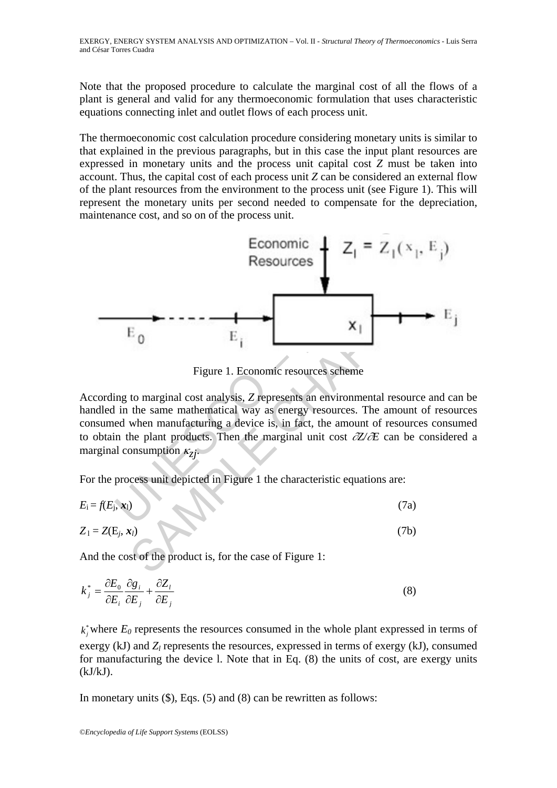Note that the proposed procedure to calculate the marginal cost of all the flows of a plant is general and valid for any thermoeconomic formulation that uses characteristic equations connecting inlet and outlet flows of each process unit.

The thermoeconomic cost calculation procedure considering monetary units is similar to that explained in the previous paragraphs, but in this case the input plant resources are expressed in monetary units and the process unit capital cost *Z* must be taken into account. Thus, the capital cost of each process unit *Z* can be considered an external flow of the plant resources from the environment to the process unit (see Figure 1). This will represent the monetary units per second needed to compensate for the depreciation, maintenance cost, and so on of the process unit.



Figure 1. Economic resources scheme

According to marginal cost analysis, *Z* represents an environmental resource and can be handled in the same mathematical way as energy resources. The amount of resources consumed when manufacturing a device is, in fact, the amount of resources consumed to obtain the plant products. Then the marginal unit cost ∂*Z/*∂*E* can be considered a marginal consumption  $\kappa_{7i}$ .

For the process unit depicted in Figure 1 the characteristic equations are:

$$
E_i = f(E_j, \mathbf{x}_1) \tag{7a}
$$

$$
Z_1 = Z(E_j, x_l) \tag{7b}
$$

And the cost of the product is, for the case of Figure 1:

$$
k_j^* = \frac{\partial E_0}{\partial E_i} \frac{\partial g_i}{\partial E_j} + \frac{\partial Z_i}{\partial E_j}
$$
 (8)

 $k_j^*$  where  $E_0$  represents the resources consumed in the whole plant expressed in terms of exergy (kJ) and  $Z_l$  represents the resources, expressed in terms of exergy (kJ), consumed for manufacturing the device l. Note that in Eq. (8) the units of cost, are exergy units  $(kJ/kJ)$ .

In monetary units (\$), Eqs. (5) and (8) can be rewritten as follows: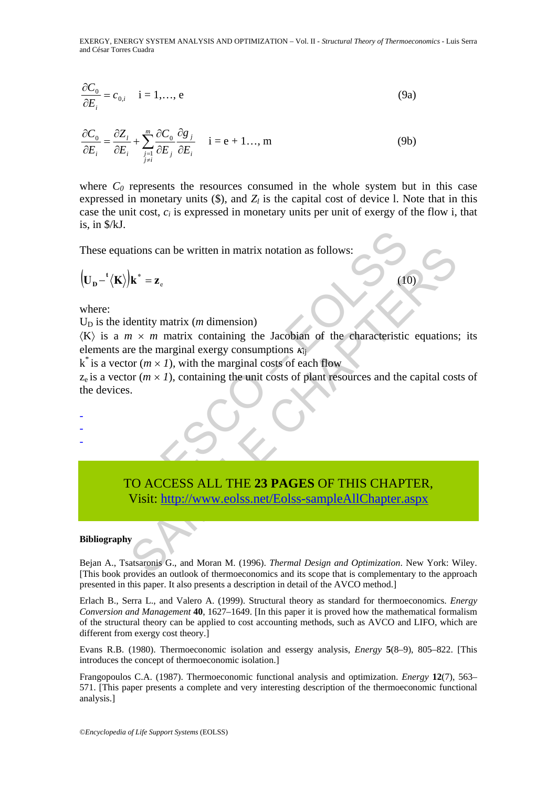$$
\frac{\partial C_0}{\partial E_i} = c_{0,i} \quad i = 1,..., e
$$
\n(9a)

$$
\frac{\partial C_0}{\partial E_i} = \frac{\partial Z_i}{\partial E_i} + \sum_{\substack{j=1 \ j \neq i}}^m \frac{\partial C_0}{\partial E_j} \frac{\partial g_j}{\partial E_i} \quad i = e + 1..., m
$$
\n(9b)

where  $C_0$  represents the resources consumed in the whole system but in this case expressed in monetary units  $(\$)$ , and  $Z_l$  is the capital cost of device l. Note that in this case the unit cost, *ci* is expressed in monetary units per unit of exergy of the flow i, that is, in \$/kJ.

These equations can be written in matrix notation as follows:

$$
\left(\mathbf{U}_{\mathbf{D}} - \left(\mathbf{K}\right)\right)\mathbf{k}^* = \mathbf{z}_{\mathrm{e}} \tag{10}
$$

where:

- - -

 $U_D$  is the identity matrix (*m* dimension)

 $\langle K \rangle$  is a  $m \times m$  matrix containing the Jacobian of the characteristic equations; its elements are the marginal exergy consumptions  $\kappa_{ii}$ 

 $k^*$  is a vector ( $m \times I$ ), with the marginal costs of each flow

 $z<sub>e</sub>$  is a vector ( $m \times I$ ), containing the unit costs of plant resources and the capital costs of the devices.

quations can be written in matrix notation as follows:<br>  $\mathbf{K}$ ) $\mathbf{k}^* = \mathbf{z}_e$ <br>
e identity matrix (*m* dimension)<br>
a  $m \times m$  matrix containing the Jacobian of the characteristic<br>
s are the marginal exergy consumptions Moreover, the same of the material state of the same of the same of the same of the same of the same of the same of the same of the same of the same of the same of the same of the same of the same of the same of the same TO ACCESS ALL THE **23 PAGES** OF THIS CHAPTER, Visit: http://www.eolss.net/Eolss-sampleAllChapter.aspx

#### **Bibliography**

Bejan A., Tsatsaronis G., and Moran M. (1996). *Thermal Design and Optimization*. New York: Wiley. [This book provides an outlook of thermoeconomics and its scope that is complementary to the approach presented in this paper. It also presents a description in detail of the AVCO method.]

Erlach B., Serra L., and Valero A. (1999). Structural theory as standard for thermoeconomics. *Energy Conversion and Management* **40**, 1627–1649. [In this paper it is proved how the mathematical formalism of the structural theory can be applied to cost accounting methods, such as AVCO and LIFO, which are different from exergy cost theory.]

Evans R.B. (1980). Thermoeconomic isolation and essergy analysis, *Energy* **5**(8–9), 805–822. [This introduces the concept of thermoeconomic isolation.]

Frangopoulos C.A. (1987). Thermoeconomic functional analysis and optimization. *Energy* **12**(7), 563– 571. [This paper presents a complete and very interesting description of the thermoeconomic functional analysis.]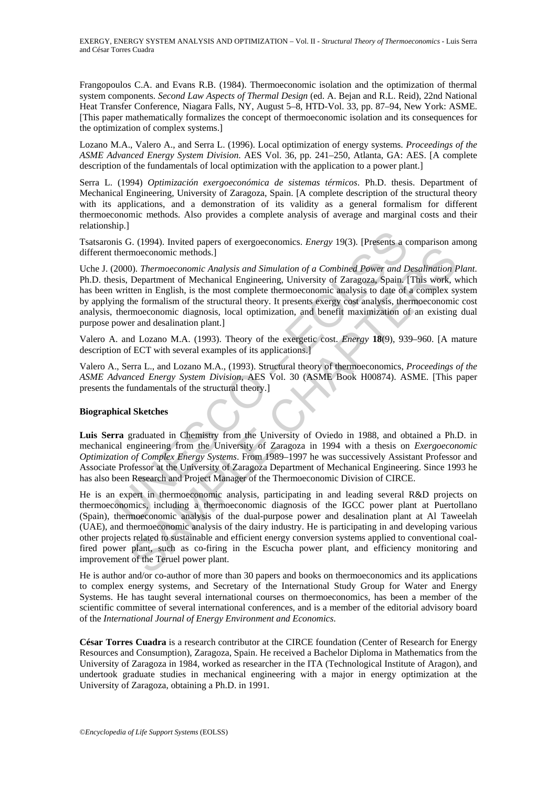Frangopoulos C.A. and Evans R.B. (1984). Thermoeconomic isolation and the optimization of thermal system components. *Second Law Aspects of Thermal Design* (ed. A. Bejan and R.L. Reid), 22nd National Heat Transfer Conference, Niagara Falls, NY, August 5–8, HTD-Vol. 33, pp. 87–94, New York: ASME. [This paper mathematically formalizes the concept of thermoeconomic isolation and its consequences for the optimization of complex systems.]

Lozano M.A., Valero A., and Serra L. (1996). Local optimization of energy systems. *Proceedings of the ASME Advanced Energy System Division*. AES Vol. 36, pp. 241–250, Atlanta, GA: AES. [A complete description of the fundamentals of local optimization with the application to a power plant.]

Serra L. (1994) *Optimización exergoeconómica de sistemas térmicos*. Ph.D. thesis. Department of Mechanical Engineering, University of Zaragoza, Spain. [A complete description of the structural theory with its applications, and a demonstration of its validity as a general formalism for different thermoeconomic methods. Also provides a complete analysis of average and marginal costs and their relationship.]

Tsatsaronis G. (1994). Invited papers of exergoeconomics. *Energy* 19(3). [Presents a comparison among different thermoeconomic methods.]

<sup>1</sup>s G. (1994). Invited papers of exergoeconomics. *Energy* 19(3). [Presents a c<br>thermoeconomic methods.]<br>2000). *Thermoeconomic Analysis and Simulation of a Combined Power and D*<br>sis, Department of Mechanical Engineering, Uche J. (2000). *Thermoeconomic Analysis and Simulation of a Combined Power and Desalination Plant*. Ph.D. thesis, Department of Mechanical Engineering, University of Zaragoza, Spain. [This work, which has been written in English, is the most complete thermoeconomic analysis to date of a complex system by applying the formalism of the structural theory. It presents exergy cost analysis, thermoeconomic cost analysis, thermoeconomic diagnosis, local optimization, and benefit maximization of an existing dual purpose power and desalination plant.]

Valero A. and Lozano M.A. (1993). Theory of the exergetic cost. *Energy* **18**(9), 939–960. [A mature description of ECT with several examples of its applications.]

Valero A., Serra L., and Lozano M.A., (1993). Structural theory of thermoeconomics, *Proceedings of the ASME Advanced Energy System Division,* AES Vol. 30 (ASME Book H00874). ASME. [This paper presents the fundamentals of the structural theory.]

### **Biographical Sketches**

**Luis Serra** graduated in Chemistry from the University of Oviedo in 1988, and obtained a Ph.D. in mechanical engineering from the University of Zaragoza in 1994 with a thesis on *Exergoeconomic Optimization of Complex Energy Systems*. From 1989–1997 he was successively Assistant Professor and Associate Professor at the University of Zaragoza Department of Mechanical Engineering. Since 1993 he has also been Research and Project Manager of the Thermoeconomic Division of CIRCE.

moeconomic methods.]<br>
Thermoeconomic enhanced Exploreria and Simulation of a Combined Power and Desalination I<br>
Department of Mechanical Engineering, University of Zaragoza, Spain [This work, when<br>
then in English, is the He is an expert in thermoeconomic analysis, participating in and leading several R&D projects on thermoeconomics, including a thermoeconomic diagnosis of the IGCC power plant at Puertollano (Spain), thermoeconomic analysis of the dual-purpose power and desalination plant at Al Taweelah (UAE), and thermoeconomic analysis of the dairy industry. He is participating in and developing various other projects related to sustainable and efficient energy conversion systems applied to conventional coalfired power plant, such as co-firing in the Escucha power plant, and efficiency monitoring and improvement of the Teruel power plant.

He is author and/or co-author of more than 30 papers and books on thermoeconomics and its applications to complex energy systems, and Secretary of the International Study Group for Water and Energy Systems. He has taught several international courses on thermoeconomics, has been a member of the scientific committee of several international conferences, and is a member of the editorial advisory board of the *International Journal of Energy Environment and Economics*.

**César Torres Cuadra** is a research contributor at the CIRCE foundation (Center of Research for Energy Resources and Consumption), Zaragoza, Spain. He received a Bachelor Diploma in Mathematics from the University of Zaragoza in 1984, worked as researcher in the ITA (Technological Institute of Aragon), and undertook graduate studies in mechanical engineering with a major in energy optimization at the University of Zaragoza, obtaining a Ph.D. in 1991.